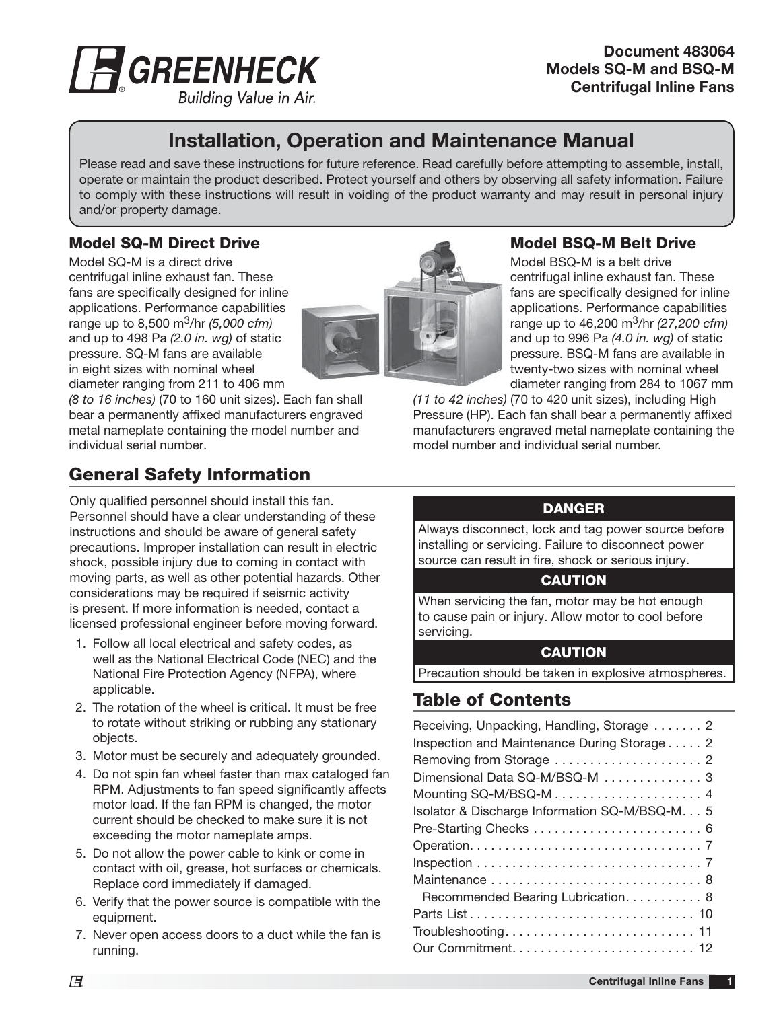

**Document 483064 Models SQ-M and BSQ-M Centrifugal Inline Fans**

#### Building Value in Air.

# **Installation, Operation and Maintenance Manual**

Please read and save these instructions for future reference. Read carefully before attempting to assemble, install, operate or maintain the product described. Protect yourself and others by observing all safety information. Failure to comply with these instructions will result in voiding of the product warranty and may result in personal injury and/or property damage.

### **Model SQ-M Direct Drive**

Model SQ-M is a direct drive centrifugal inline exhaust fan. These fans are specifically designed for inline applications. Performance capabilities range up to 8,500 m<sup>3</sup>/hr (5,000 cfm) and up to 498 Pa (2.0 in. wg) of static pressure. SQ-M fans are available in eight sizes with nominal wheel diameter ranging from 211 to 406 mm

(8 to 16 inches) (70 to 160 unit sizes). Each fan shall bear a permanently affixed manufacturers engraved metal nameplate containing the model number and individual serial number.

## **General Safety Information**

Only qualified personnel should install this fan. Personnel should have a clear understanding of these instructions and should be aware of general safety precautions. Improper installation can result in electric shock, possible injury due to coming in contact with moving parts, as well as other potential hazards. Other considerations may be required if seismic activity is present. If more information is needed, contact a licensed professional engineer before moving forward.

- 1. Follow all local electrical and safety codes, as well as the National Electrical Code (NEC) and the National Fire Protection Agency (NFPA), where applicable.
- 2. The rotation of the wheel is critical. It must be free to rotate without striking or rubbing any stationary objects.
- 3. Motor must be securely and adequately grounded.
- 4. Do not spin fan wheel faster than max cataloged fan RPM. Adjustments to fan speed significantly affects motor load. If the fan RPM is changed, the motor current should be checked to make sure it is not exceeding the motor nameplate amps.
- 5. Do not allow the power cable to kink or come in contact with oil, grease, hot surfaces or chemicals. Replace cord immediately if damaged.
- 6. Verify that the power source is compatible with the equipment.
- 7. Never open access doors to a duct while the fan is running.



#### **Model BSQ-M Belt Drive**

Model BSQ-M is a belt drive centrifugal inline exhaust fan. These fans are specifically designed for inline applications. Performance capabilities range up to 46,200 m<sup>3</sup>/hr (27,200 cfm) and up to 996 Pa (4.0 in. wg) of static pressure. BSQ-M fans are available in twenty-two sizes with nominal wheel diameter ranging from 284 to 1067 mm

(11 to 42 inches) (70 to 420 unit sizes), including High Pressure (HP). Each fan shall bear a permanently affixed manufacturers engraved metal nameplate containing the model number and individual serial number.

#### **DANGER**

Always disconnect, lock and tag power source before installing or servicing. Failure to disconnect power source can result in fire, shock or serious injury.

#### **CAUTION**

When servicing the fan, motor may be hot enough to cause pain or injury. Allow motor to cool before servicing.

#### **CAUTION**

Precaution should be taken in explosive atmospheres.

## **Table of Contents**

| Receiving, Unpacking, Handling, Storage  2     |
|------------------------------------------------|
| Inspection and Maintenance During Storage 2    |
|                                                |
| Dimensional Data SQ-M/BSQ-M 3                  |
|                                                |
| Isolator & Discharge Information SQ-M/BSQ-M. 5 |
| Pre-Starting Checks  6                         |
|                                                |
|                                                |
|                                                |
| Recommended Bearing Lubrication. 8             |
|                                                |
|                                                |
|                                                |
|                                                |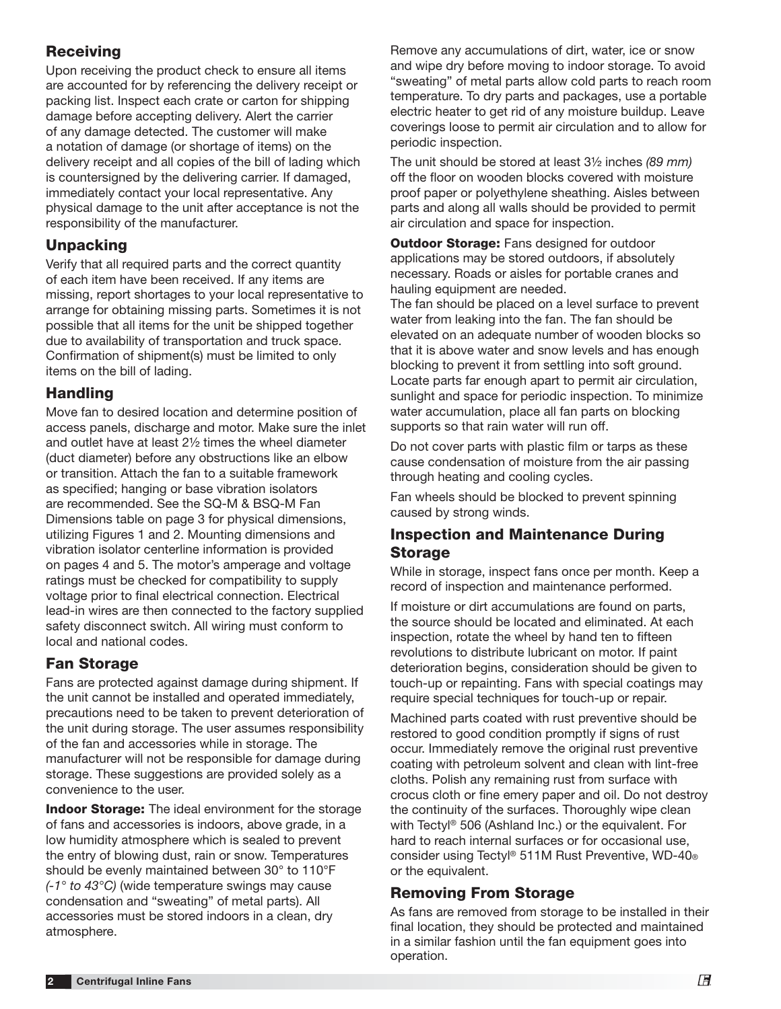## **Receiving**

Upon receiving the product check to ensure all items are accounted for by referencing the delivery receipt or packing list. Inspect each crate or carton for shipping damage before accepting delivery. Alert the carrier of any damage detected. The customer will make a notation of damage (or shortage of items) on the delivery receipt and all copies of the bill of lading which is countersigned by the delivering carrier. If damaged, immediately contact your local representative. Any physical damage to the unit after acceptance is not the responsibility of the manufacturer.

## **Unpacking**

Verify that all required parts and the correct quantity of each item have been received. If any items are missing, report shortages to your local representative to arrange for obtaining missing parts. Sometimes it is not possible that all items for the unit be shipped together due to availability of transportation and truck space. Confirmation of shipment(s) must be limited to only items on the bill of lading.

### **Handling**

Move fan to desired location and determine position of access panels, discharge and motor. Make sure the inlet and outlet have at least 2½ times the wheel diameter (duct diameter) before any obstructions like an elbow or transition. Attach the fan to a suitable framework as specified; hanging or base vibration isolators are recommended. See the SQ-M & BSQ-M Fan Dimensions table on page 3 for physical dimensions, utilizing Figures 1 and 2. Mounting dimensions and vibration isolator centerline information is provided on pages 4 and 5. The motor's amperage and voltage ratings must be checked for compatibility to supply voltage prior to final electrical connection. Electrical lead-in wires are then connected to the factory supplied safety disconnect switch. All wiring must conform to local and national codes.

## **Fan Storage**

Fans are protected against damage during shipment. If the unit cannot be installed and operated immediately, precautions need to be taken to prevent deterioration of the unit during storage. The user assumes responsibility of the fan and accessories while in storage. The manufacturer will not be responsible for damage during storage. These suggestions are provided solely as a convenience to the user.

**Indoor Storage:** The ideal environment for the storage of fans and accessories is indoors, above grade, in a low humidity atmosphere which is sealed to prevent the entry of blowing dust, rain or snow. Temperatures should be evenly maintained between 30° to 110°F  $(-1)$ ° to 43°C) (wide temperature swings may cause condensation and "sweating" of metal parts). All accessories must be stored indoors in a clean, dry atmosphere.

Remove any accumulations of dirt, water, ice or snow and wipe dry before moving to indoor storage. To avoid "sweating" of metal parts allow cold parts to reach room temperature. To dry parts and packages, use a portable electric heater to get rid of any moisture buildup. Leave coverings loose to permit air circulation and to allow for periodic inspection.

The unit should be stored at least 3½ inches (89 mm) off the floor on wooden blocks covered with moisture proof paper or polyethylene sheathing. Aisles between parts and along all walls should be provided to permit air circulation and space for inspection.

**Outdoor Storage:** Fans designed for outdoor applications may be stored outdoors, if absolutely necessary. Roads or aisles for portable cranes and hauling equipment are needed.

The fan should be placed on a level surface to prevent water from leaking into the fan. The fan should be elevated on an adequate number of wooden blocks so that it is above water and snow levels and has enough blocking to prevent it from settling into soft ground. Locate parts far enough apart to permit air circulation, sunlight and space for periodic inspection. To minimize water accumulation, place all fan parts on blocking supports so that rain water will run off.

Do not cover parts with plastic film or tarps as these cause condensation of moisture from the air passing through heating and cooling cycles.

Fan wheels should be blocked to prevent spinning caused by strong winds.

### **Inspection and Maintenance During Storage**

While in storage, inspect fans once per month. Keep a record of inspection and maintenance performed.

If moisture or dirt accumulations are found on parts, the source should be located and eliminated. At each inspection, rotate the wheel by hand ten to fifteen revolutions to distribute lubricant on motor. If paint deterioration begins, consideration should be given to touch-up or repainting. Fans with special coatings may require special techniques for touch-up or repair.

Machined parts coated with rust preventive should be restored to good condition promptly if signs of rust occur. Immediately remove the original rust preventive coating with petroleum solvent and clean with lint-free cloths. Polish any remaining rust from surface with crocus cloth or fine emery paper and oil. Do not destroy the continuity of the surfaces. Thoroughly wipe clean with Tectyl® 506 (Ashland Inc.) or the equivalent. For hard to reach internal surfaces or for occasional use, consider using Tectyl® 511M Rust Preventive, WD-40® or the equivalent.

## **Removing From Storage**

As fans are removed from storage to be installed in their final location, they should be protected and maintained in a similar fashion until the fan equipment goes into operation.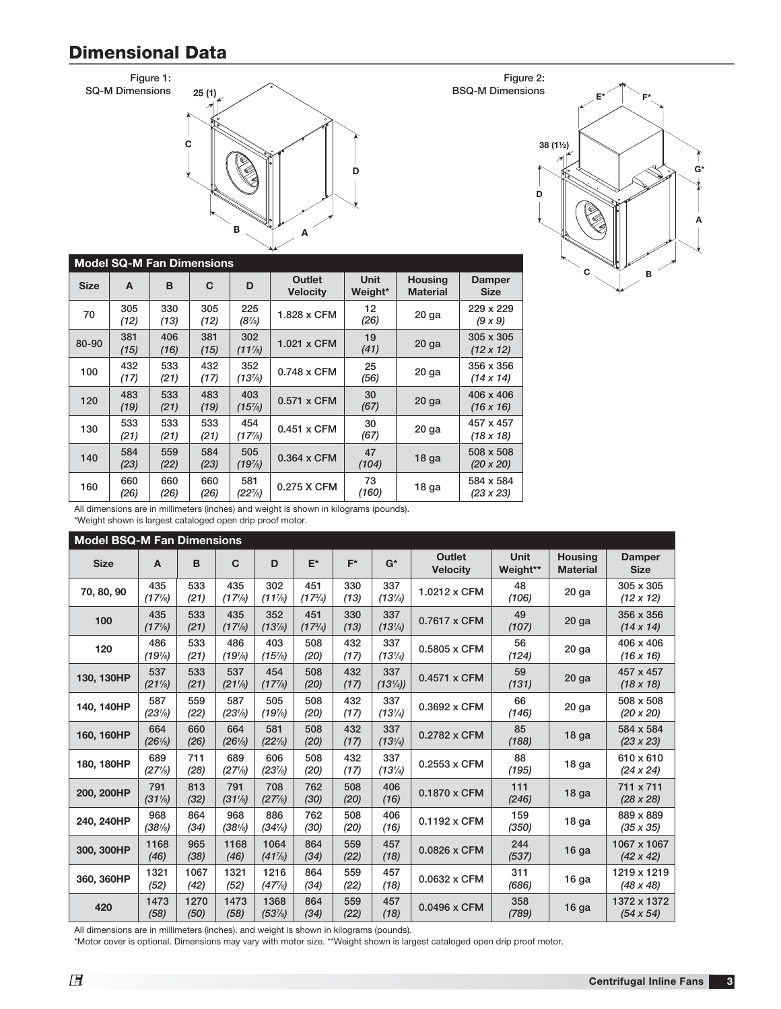# **Dimensional Data**

**Figure 1: SQ-M Dimensions**



| <b>Model SQ-M Fan Dimensions</b> |             |             |                 |                           |                        |                                   |                                      |
|----------------------------------|-------------|-------------|-----------------|---------------------------|------------------------|-----------------------------------|--------------------------------------|
| A                                | B           | C           | D               | Outlet<br><b>Velocity</b> | <b>Unit</b><br>Weight* | <b>Housing</b><br><b>Material</b> | <b>Damper</b><br><b>Size</b>         |
| 305<br>(12)                      | 330<br>(13) | 305<br>(12) | 225<br>$(8\%)$  | 1.828 x CFM               | 12<br>(26)             | 20 <sub>ga</sub>                  | 229 x 229<br>(9x9)                   |
| 381<br>(15)                      | 406<br>(16) | 381<br>(15) | 302<br>$(11\%)$ | 1.021 x CFM               | 19<br>(41)             | $20$ ga                           | $305 \times 305$<br>$(12 \times 12)$ |
| 432<br>(17)                      | 533<br>(21) | 432<br>(17) | 352<br>(13%)    | $0.748 \times$ CFM        | 25<br>(56)             | $20$ ga                           | 356 x 356<br>$(14 \times 14)$        |
| 483<br>(19)                      | 533<br>(21) | 483<br>(19) | 403<br>$(15\%)$ | $0.571 \times CFM$        | 30<br>(67)             | $20$ ga                           | 406 x 406<br>$(16 \times 16)$        |
| 533<br>(21)                      | 533<br>(21) | 533<br>(21) | 454<br>(17%)    | $0.451 \times CFM$        | 30<br>(67)             | 20 <sub>q</sub>                   | 457 x 457<br>$(18 \times 18)$        |
| 584<br>(23)                      | 559<br>(22) | 584<br>(23) | 505<br>(19%)    | 0.364 x CFM               | 47<br>(104)            | 18 <sub>g</sub> a                 | 508 x 508<br>$(20 \times 20)$        |
| 660<br>(26)                      | 660<br>(26) | 660<br>(26) | 581<br>(22%)    | 0.275 X CFM               | 73<br>(160)            | 18 ga                             | 584 x 584<br>$(23 \times 23)$        |
|                                  |             |             |                 |                           |                        |                                   |                                      |



All dimensions are in millimeters (inches) and weight is shown in kilograms (pounds).

\*Weight shown is largest cataloged open drip proof motor.

**Model BSQ-M Fan Dimensions Size A B C D E\* F\* G\* Outlet Velocity Unit Weight\*\* Housing Material Damper Size 70, 80, 90 <sup>435</sup>** *(171 ⁄8)* **533**  *(21)* **435**  *(171 ⁄8)* **302**  *(117 ⁄8)* **451**  *(173 ⁄4)* **330**  *(13)* **337**  *(131* **1.0212 x CFM**  $\begin{bmatrix} 48 \\ 106 \end{bmatrix}$ *(106)* **20 ga 305 x 305**  *(12 x 12)* **100**  $\begin{array}{|c|c|} 435 \\ 435 \end{array}$ *(171 ⁄8)* **533**  *(21)* **435**  *(171 ⁄8)* **352**  *(137 ⁄8)* **451**  *(173 ⁄4)* **330**  *(13)* **337**  *(131 ⁄4)* **0.7617 x CFM <sup>49</sup>** *(107)* **20 ga 356 x 356**  *(14 x 14)* **<sup>120</sup> <sup>486</sup>** *(191 ⁄8)* **533**  *(21)* **486**  *(191 ⁄8)* **403**  *(157 ⁄8)* **508**  *(20)* **432**  *(17)* **337**  *(131*  $0.5805 \times \text{CFM}$   $\begin{array}{|c|c|} \hline 56 \\ \hline (124) \end{array}$ *(124)* **20 ga 406 x 406**  *(16 x 16)* **130, 130HP <sup>537</sup>** *(211 ⁄8)* **533**  *(21)* **537**  *(211 ⁄8)* **454**  *(17 7 ⁄8)* **508**  *(20)* **432**  *(17)* **337**  *(131 ⁄4))* **0.4571 x CFM <sup>59</sup>** *(131)* **20 ga 457 x 457**  *(18 x 18)* **140, 140HP <sup>587</sup>** *(231 ⁄8)* **559**  *(22)* **587**  *(231 ⁄8)* **505**  *(197 ⁄8)* **508**  *(20)* **432**  *(17)* **337**  *(131*  $0.3692 \times \text{CFM}$   $\begin{array}{|c|c|} \hline 66 \\ (146) \end{array}$ *(146)* **20 ga 508 x 508**  *(20 x 20)* **160, 160HP <sup>664</sup>** *(261 ⁄8)* **660**  *(26)* **664**  *(261 ⁄8)* **581**  *(227 ⁄8)* **508**  *(20)* **432**  *(17)* **337**  *(131 0.2782* **x CFM**  $\begin{bmatrix} 85 \\ 188 \end{bmatrix}$ *(188)* **18 ga 584 x 584**  *(23 x 23)* **180, 180HP <sup>689</sup>** *(271 ⁄8)* **711**  *(28)* **689**  *(271 ⁄8)* **606**  *(237 ⁄8)* **508**  *(20)* **432**  *(17)* **337**  *(131*  $0.2553 \times \text{CFM}$   $\begin{array}{|c} 88 \\ (195) \end{array}$ *(195)* **18 ga 610 x 610**  *(24 x 24)* **200, 200HP <sup>791</sup>** *(311 ⁄8)* **813**  *(32)* **791**  *(311 ⁄8)* **708**  *(277 ⁄8)* **762**  *(30)* **508**  *(20)* **406**  *(16)* **0.1870 x CFM <sup>111</sup>** *(246)* **18 ga 711 x 711**  *(28 x 28)* **240, 240HP <sup>968</sup>** *(381 ⁄8)* **864**  *(34)* **968**  *(381 ⁄8)* **886**  *(347 ⁄8)* **762**  *(30)* **508**  *(20)* **406**  *(16)* **0.1192 x CFM <sup>159</sup>** *(350)* **18 ga 889 x 889**  *(35 x 35)* **300, 300HP <sup>1168</sup>** *(46)* **965**  *(38)* **1168**  *(46)* **1064**  *(417 ⁄8)* **864**  *(34)* **559**  *(22)* **457**  *(18)* **0.0826 x CFM <sup>244</sup>** *(537)* **16 ga 1067 x 1067**  *(42 x 42)* **360, 360HP <sup>1321</sup>** *(52)* **1067**  *(42)* **1321**  *(52)* **1216**  *(477 ⁄8)* **864**  *(34)* **559**  *(22)* **457**  *(18)* **0.0632 x CFM <sup>311</sup>** *(686)* **16 ga 1219 x 1219**  *(48 x 48)* **<sup>420</sup> <sup>1473</sup>** *(58)* **1270**  *(50)* **1473**  *(58)* **1368**  *(537 ⁄8)* **864**  *(34)* **559**  *(22)* **457**  *(18)* **0.0496 x CFM <sup>358</sup>** *(789)* **16 ga 1372 x 1372**  *(54 x 54)*

All dimensions are in millimeters (inches). and weight is shown in kilograms (pounds).

\*Motor cover is optional. Dimensions may vary with motor size. \*\*Weight shown is largest cataloged open drip proof motor.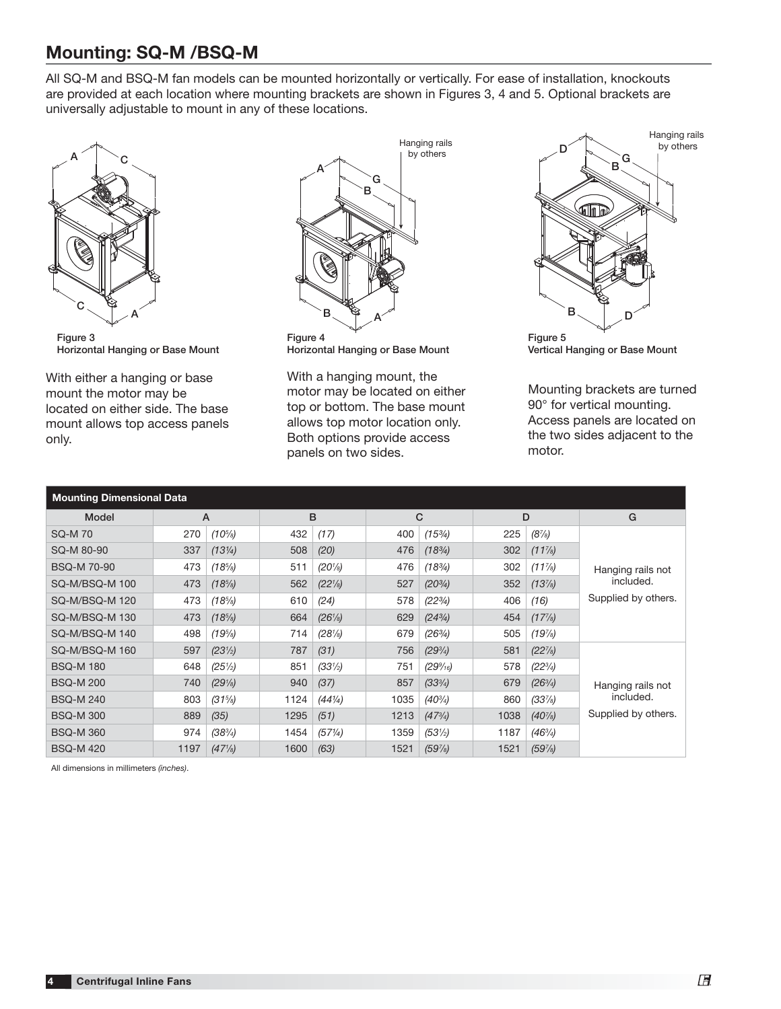## **Mounting: SQ-M /BSQ-M**

All SQ-M and BSQ-M fan models can be mounted horizontally or vertically. For ease of installation, knockouts are provided at each location where mounting brackets are shown in Figures 3, 4 and 5. Optional brackets are universally adjustable to mount in any of these locations.



**Figure 3 Horizontal Hanging or Base Mount**

With either a hanging or base mount the motor may be located on either side. The base mount allows top access panels only.



**Horizontal Hanging or Base Mount**

With a hanging mount, the motor may be located on either top or bottom. The base mount allows top motor location only. Both options provide access panels on two sides.



**Vertical Hanging or Base Mount**

Mounting brackets are turned 90° for vertical mounting. Access panels are located on the two sides adjacent to the motor.

| <b>Mounting Dimensional Data</b> |      |                                   |      |                   |      |                   |      |                   |                     |
|----------------------------------|------|-----------------------------------|------|-------------------|------|-------------------|------|-------------------|---------------------|
| Model                            | A    |                                   | B    |                   |      | C                 |      | D                 | G                   |
| <b>SQ-M70</b>                    | 270  | $(10^{5}/_{8})$                   | 432  | (17)              | 400  | $(15\%)$          | 225  | $(8\frac{7}{s})$  |                     |
| SQ-M 80-90                       | 337  | $(13\frac{1}{4})$                 | 508  | (20)              | 476  | $(18^{3}/_{4})$   | 302  | $(11\frac{7}{8})$ |                     |
| <b>BSQ-M70-90</b>                | 473  | $(18\%)$                          | 511  | $(20\% )$         | 476  | $(18\%)$          | 302  | $(11\%)$          | Hanging rails not   |
| SQ-M/BSQ-M 100                   | 473  | $(18\%)$                          | 562  | $(22\frac{1}{8})$ | 527  | $(20^{3}/_{4})$   | 352  | $(13\%)$          | included.           |
| SQ-M/BSQ-M 120                   | 473  | $(18\%)$                          | 610  | (24)              | 578  | $(22^{3}/_{4})$   | 406  | (16)              | Supplied by others. |
| SQ-M/BSQ-M 130                   | 473  | $(18\%)$                          | 664  | $(26\frac{1}{8})$ | 629  | $(24^{3}/_{4})$   | 454  | $(17\%)$          |                     |
| SQ-M/BSQ-M 140                   | 498  | $(19\%)$                          | 714  | $(28\%)$          | 679  | $(26^{3}/_{4})$   | 505  | (19%)             |                     |
| SQ-M/BSQ-M 160                   | 597  | (23 <sup>1</sup> / <sub>2</sub> ) | 787  | (31)              | 756  | $(29^{3}/_{4})$   | 581  | $(22\%)$          |                     |
| <b>BSQ-M180</b>                  | 648  | $(25\%)$                          | 851  | $(33\frac{1}{2})$ | 751  | $(29\%_{16})$     | 578  | $(22^{3}/_{4})$   |                     |
| <b>BSQ-M 200</b>                 | 740  | $(29\%)$                          | 940  | (37)              | 857  | $(33^{3}/_{4})$   | 679  | $(26^{3}/_{4})$   | Hanging rails not   |
| <b>BSQ-M 240</b>                 | 803  | $(31\frac{5}{8})$                 | 1124 | $(44\frac{1}{4})$ | 1035 | $(40^{3}/_{4})$   | 860  | $(33\%)$          | included.           |
| <b>BSQ-M300</b>                  | 889  | (35)                              | 1295 | (51)              | 1213 | $(47^{3}/_{4})$   | 1038 | $(40\%)$          | Supplied by others. |
| <b>BSQ-M360</b>                  | 974  | $(38^{3}/_{4})$                   | 1454 | (57%)             | 1359 | $(53\frac{1}{2})$ | 1187 | $(46^{3}/_{4})$   |                     |
| <b>BSQ-M420</b>                  | 1197 | $(47\frac{1}{8})$                 | 1600 | (63)              | 1521 | (59%)             | 1521 | $(59\%)$          |                     |

All dimensions in millimeters (inches).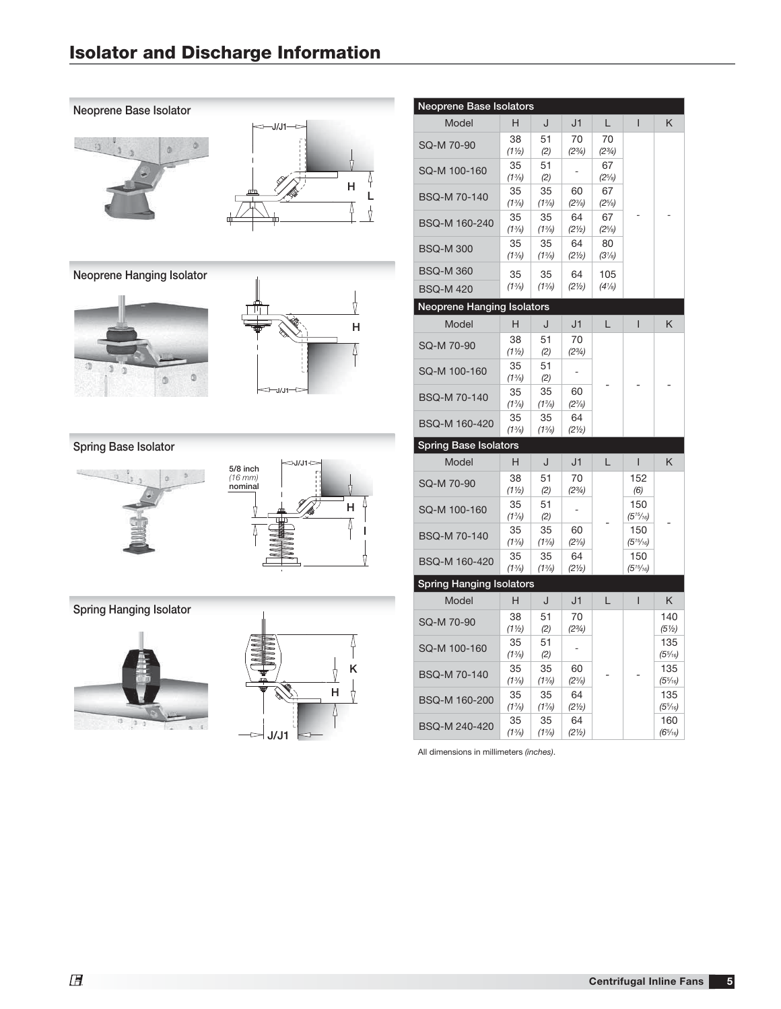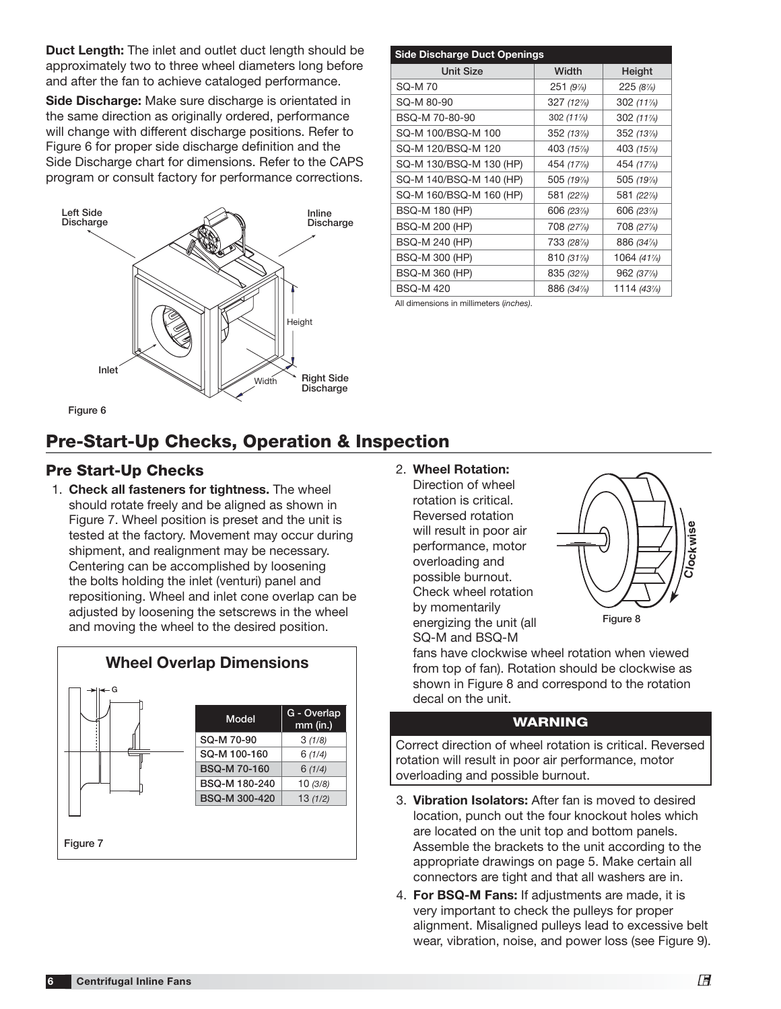**Duct Length:** The inlet and outlet duct length should be approximately two to three wheel diameters long before and after the fan to achieve cataloged performance.

**Side Discharge:** Make sure discharge is orientated in the same direction as originally ordered, performance will change with different discharge positions. Refer to Figure 6 for proper side discharge definition and the Side Discharge chart for dimensions. Refer to the CAPS program or consult factory for performance corrections.



| <b>Side Discharge Duct Openings</b> |             |             |  |  |
|-------------------------------------|-------------|-------------|--|--|
| <b>Unit Size</b>                    | Width       | Height      |  |  |
| SQ-M 70                             | $251(9\%)$  | $225(8\%)$  |  |  |
| SQ-M 80-90                          | $327(12\%)$ | $302(11\%)$ |  |  |
| BSQ-M 70-80-90                      | $302(11\%)$ | 302 (11%)   |  |  |
| SQ-M 100/BSQ-M 100                  | $352(13\%)$ | 352 (13%)   |  |  |
| SQ-M 120/BSQ-M 120                  | 403 (15%)   | 403 (15%)   |  |  |
| SQ-M 130/BSQ-M 130 (HP)             | 454 (17%)   | 454 (17%)   |  |  |
| SQ-M 140/BSQ-M 140 (HP)             | 505 (197/8) | 505 (1974)  |  |  |
| SQ-M 160/BSQ-M 160 (HP)             | 581 (22%)   | 581 (22%)   |  |  |
| <b>BSQ-M 180 (HP)</b>               | 606 (23%)   | 606 (23%)   |  |  |
| <b>BSQ-M 200 (HP)</b>               | 708 (27%)   | 708 (27%)   |  |  |
| <b>BSQ-M 240 (HP)</b>               | 733 (28%)   | 886 (34%)   |  |  |
| <b>BSQ-M 300 (HP)</b>               | 810 (31%)   | 1064 (41%)  |  |  |
| <b>BSQ-M 360 (HP)</b>               | 835 (32%)   | 962 (37%)   |  |  |
| <b>BSQ-M420</b>                     | 886 (34%)   | 1114 (43%)  |  |  |
|                                     |             |             |  |  |

All dimensions in millimeters (inches).

# **Pre-Start-Up Checks, Operation & Inspection**

#### **Pre Start-Up Checks**

 1. **Check all fasteners for tightness.** The wheel should rotate freely and be aligned as shown in Figure 7. Wheel position is preset and the unit is tested at the factory. Movement may occur during shipment, and realignment may be necessary. Centering can be accomplished by loosening the bolts holding the inlet (venturi) panel and repositioning. Wheel and inlet cone overlap can be adjusted by loosening the setscrews in the wheel and moving the wheel to the desired position.



 2. **Wheel Rotation:** Direction of wheel rotation is critical. Reversed rotation will result in poor air performance, motor overloading and possible burnout. Check wheel rotation by momentarily energizing the unit (all SQ-M and BSQ-M



fans have clockwise wheel rotation when viewed from top of fan). Rotation should be clockwise as shown in Figure 8 and correspond to the rotation decal on the unit.

#### **WARNING**

Correct direction of wheel rotation is critical. Reversed rotation will result in poor air performance, motor overloading and possible burnout.

- 3. **Vibration Isolators:** After fan is moved to desired location, punch out the four knockout holes which are located on the unit top and bottom panels. Assemble the brackets to the unit according to the appropriate drawings on page 5. Make certain all connectors are tight and that all washers are in.
- 4. **For BSQ-M Fans:** If adjustments are made, it is very important to check the pulleys for proper alignment. Misaligned pulleys lead to excessive belt wear, vibration, noise, and power loss (see Figure 9).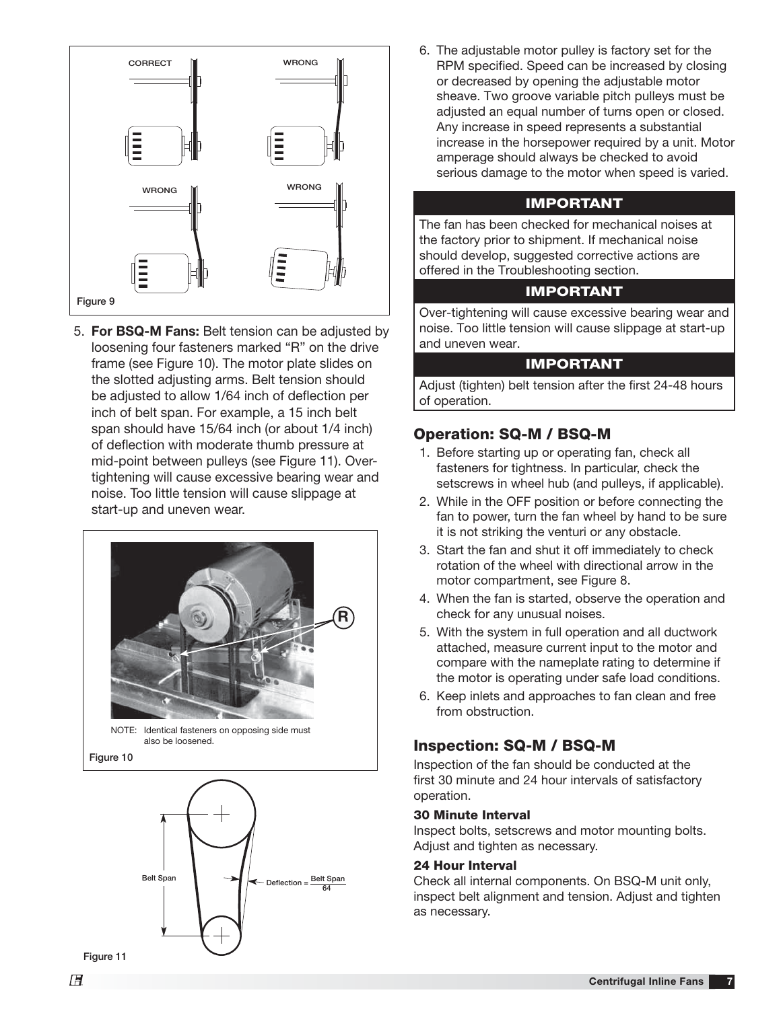

 5. **For BSQ-M Fans:** Belt tension can be adjusted by loosening four fasteners marked "R" on the drive frame (see Figure 10). The motor plate slides on the slotted adjusting arms. Belt tension should be adjusted to allow 1/64 inch of deflection per inch of belt span. For example, a 15 inch belt span should have 15/64 inch (or about 1/4 inch) of deflection with moderate thumb pressure at mid-point between pulleys (see Figure 11). Overtightening will cause excessive bearing wear and noise. Too little tension will cause slippage at start-up and uneven wear.





 6. The adjustable motor pulley is factory set for the RPM specified. Speed can be increased by closing or decreased by opening the adjustable motor sheave. Two groove variable pitch pulleys must be adjusted an equal number of turns open or closed. Any increase in speed represents a substantial increase in the horsepower required by a unit. Motor amperage should always be checked to avoid serious damage to the motor when speed is varied.

#### **IMPORTANT**

The fan has been checked for mechanical noises at the factory prior to shipment. If mechanical noise should develop, suggested corrective actions are offered in the Troubleshooting section.

#### **IMPORTANT**

Over-tightening will cause excessive bearing wear and noise. Too little tension will cause slippage at start-up and uneven wear.

#### **IMPORTANT**

Adjust (tighten) belt tension after the first 24-48 hours of operation.

## **Operation: SQ-M / BSQ-M**

- 1. Before starting up or operating fan, check all fasteners for tightness. In particular, check the setscrews in wheel hub (and pulleys, if applicable).
- 2. While in the OFF position or before connecting the fan to power, turn the fan wheel by hand to be sure it is not striking the venturi or any obstacle.
- 3. Start the fan and shut it off immediately to check rotation of the wheel with directional arrow in the motor compartment, see Figure 8.
- 4. When the fan is started, observe the operation and check for any unusual noises.
- 5. With the system in full operation and all ductwork attached, measure current input to the motor and compare with the nameplate rating to determine if the motor is operating under safe load conditions.
- 6. Keep inlets and approaches to fan clean and free from obstruction.

## **Inspection: SQ-M / BSQ-M**

Inspection of the fan should be conducted at the first 30 minute and 24 hour intervals of satisfactory operation.

#### **30 Minute Interval**

Inspect bolts, setscrews and motor mounting bolts. Adjust and tighten as necessary.

#### **24 Hour Interval**

Check all internal components. On BSQ-M unit only, inspect belt alignment and tension. Adjust and tighten as necessary.

**Figure 11**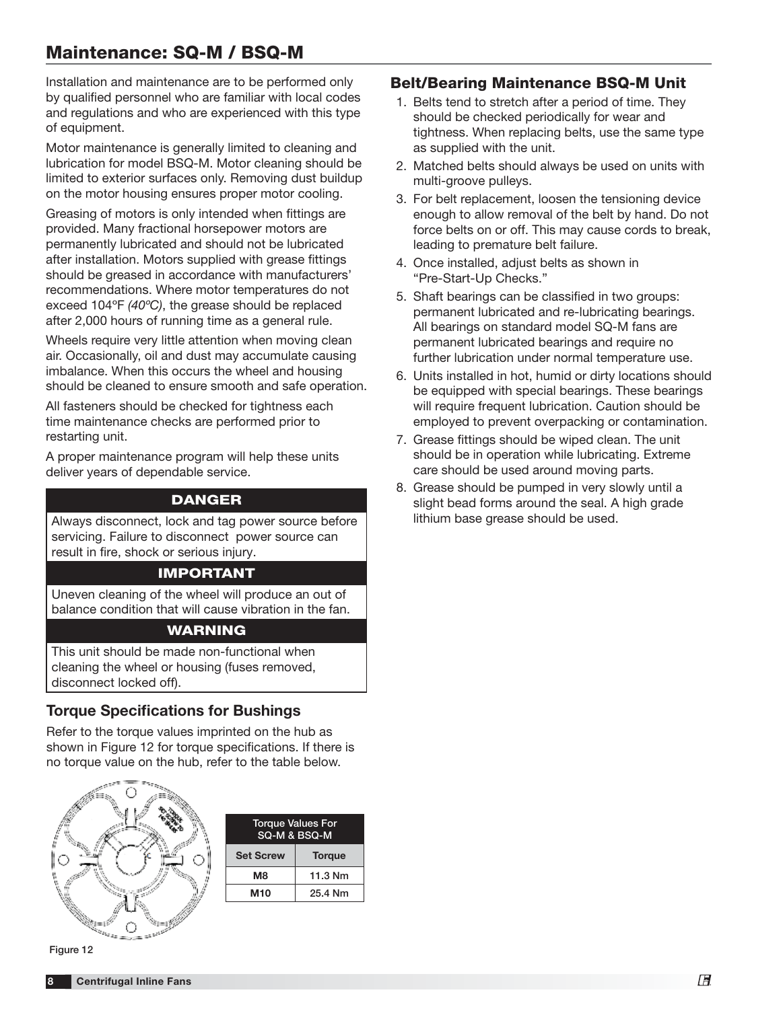Installation and maintenance are to be performed only by qualified personnel who are familiar with local codes and regulations and who are experienced with this type of equipment.

Motor maintenance is generally limited to cleaning and lubrication for model BSQ-M. Motor cleaning should be limited to exterior surfaces only. Removing dust buildup on the motor housing ensures proper motor cooling.

Greasing of motors is only intended when fittings are provided. Many fractional horsepower motors are permanently lubricated and should not be lubricated after installation. Motors supplied with grease fittings should be greased in accordance with manufacturers' recommendations. Where motor temperatures do not exceed 104ºF (40ºC), the grease should be replaced after 2,000 hours of running time as a general rule.

Wheels require very little attention when moving clean air. Occasionally, oil and dust may accumulate causing imbalance. When this occurs the wheel and housing should be cleaned to ensure smooth and safe operation.

All fasteners should be checked for tightness each time maintenance checks are performed prior to restarting unit.

A proper maintenance program will help these units deliver years of dependable service.

## **DANGER**

Always disconnect, lock and tag power source before servicing. Failure to disconnect power source can result in fire, shock or serious injury.

#### **IMPORTANT**

Uneven cleaning of the wheel will produce an out of balance condition that will cause vibration in the fan.

## **WARNING**

This unit should be made non-functional when cleaning the wheel or housing (fuses removed, disconnect locked off).

## **Torque Specifications for Bushings**

Refer to the torque values imprinted on the hub as shown in Figure 12 for torque specifications. If there is no torque value on the hub, refer to the table below.



| <b>Torque Values For</b><br>SQ-M & BSQ-M |               |  |  |
|------------------------------------------|---------------|--|--|
| <b>Set Screw</b>                         | <b>Torque</b> |  |  |
| M8                                       | 11.3 Nm       |  |  |
| M10                                      | 25.4 Nm       |  |  |

### **Belt/Bearing Maintenance BSQ-M Unit**

- 1. Belts tend to stretch after a period of time. They should be checked periodically for wear and tightness. When replacing belts, use the same type as supplied with the unit.
- 2. Matched belts should always be used on units with multi-groove pulleys.
- 3. For belt replacement, loosen the tensioning device enough to allow removal of the belt by hand. Do not force belts on or off. This may cause cords to break, leading to premature belt failure.
- 4. Once installed, adjust belts as shown in "Pre-Start-Up Checks."
- 5. Shaft bearings can be classified in two groups: permanent lubricated and re-lubricating bearings. All bearings on standard model SQ-M fans are permanent lubricated bearings and require no further lubrication under normal temperature use.
- 6. Units installed in hot, humid or dirty locations should be equipped with special bearings. These bearings will require frequent lubrication. Caution should be employed to prevent overpacking or contamination.
- 7. Grease fittings should be wiped clean. The unit should be in operation while lubricating. Extreme care should be used around moving parts.
- 8. Grease should be pumped in very slowly until a slight bead forms around the seal. A high grade lithium base grease should be used.

**Figure 12**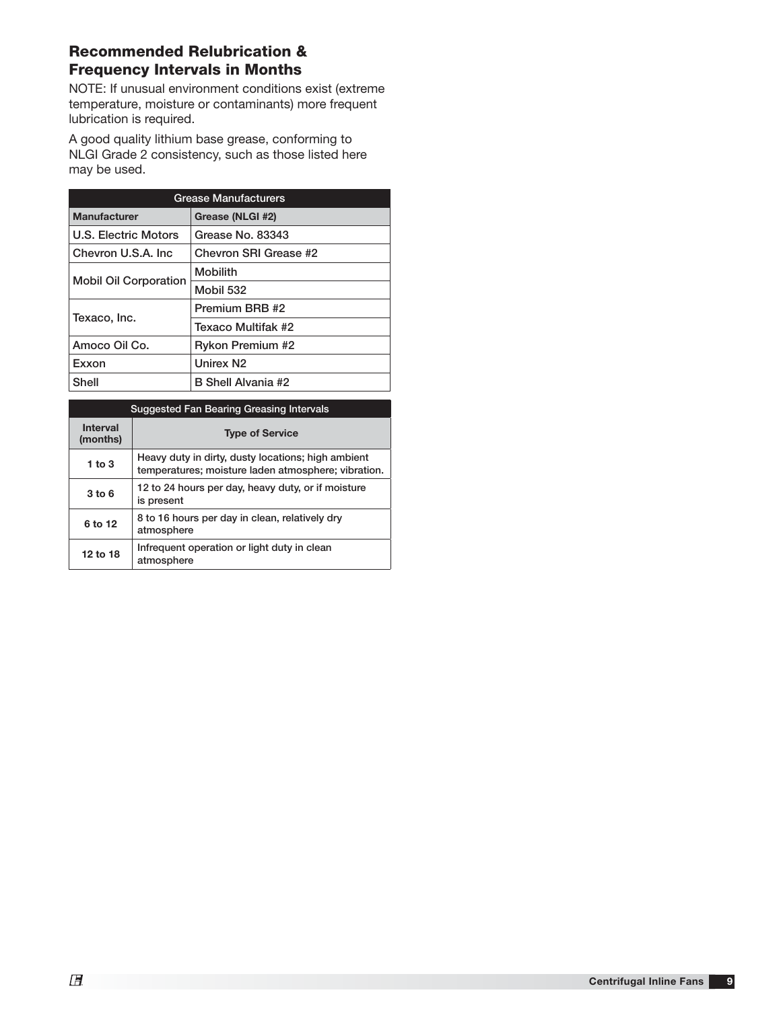## **Recommended Relubrication & Frequency Intervals in Months**

NOTE: If unusual environment conditions exist (extreme temperature, moisture or contaminants) more frequent lubrication is required.

A good quality lithium base grease, conforming to NLGI Grade 2 consistency, such as those listed here may be used.

| <b>Grease Manufacturers</b>  |                         |  |
|------------------------------|-------------------------|--|
| <b>Manufacturer</b>          | Grease (NLGI #2)        |  |
| U.S. Electric Motors         | Grease No. 83343        |  |
| Chevron U.S.A. Inc.          | Chevron SRI Grease #2   |  |
| <b>Mobil Oil Corporation</b> | <b>Mobilith</b>         |  |
|                              | Mobil 532               |  |
| Texaco, Inc.                 | Premium BRB #2          |  |
|                              | Texaco Multifak #2      |  |
| Amoco Oil Co.                | <b>Rykon Premium #2</b> |  |
| Exxon                        | Unirex N <sub>2</sub>   |  |
| Shell                        | B Shell Alvania #2      |  |

| <b>Suggested Fan Bearing Greasing Intervals</b> |                                                                                                           |  |  |  |
|-------------------------------------------------|-----------------------------------------------------------------------------------------------------------|--|--|--|
| <b>Interval</b><br>(months)                     | <b>Type of Service</b>                                                                                    |  |  |  |
| 1 to $3$                                        | Heavy duty in dirty, dusty locations; high ambient<br>temperatures; moisture laden atmosphere; vibration. |  |  |  |
| $3$ to $6$                                      | 12 to 24 hours per day, heavy duty, or if moisture<br>is present                                          |  |  |  |
| 6 to 12                                         | 8 to 16 hours per day in clean, relatively dry<br>atmosphere                                              |  |  |  |
| 12 to 18                                        | Infrequent operation or light duty in clean<br>atmosphere                                                 |  |  |  |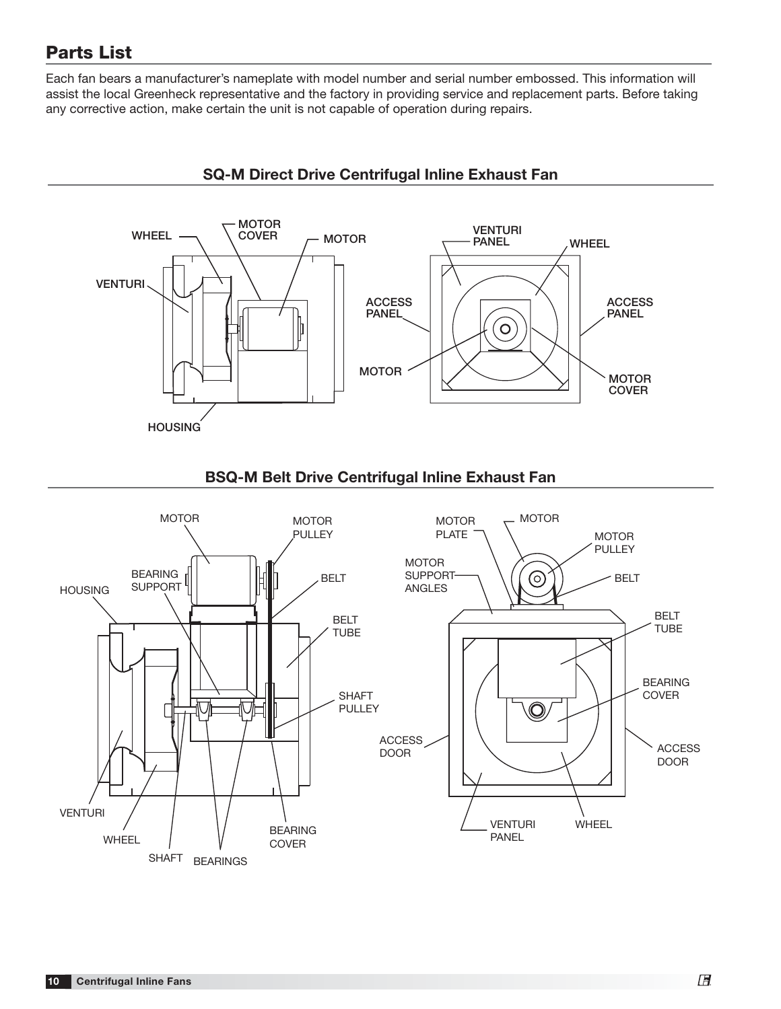## **Parts List**

Each fan bears a manufacturer's nameplate with model number and serial number embossed. This information will assist the local Greenheck representative and the factory in providing service and replacement parts. Before taking any corrective action, make certain the unit is not capable of operation during repairs.



## **SQ-M Direct Drive Centrifugal Inline Exhaust Fan**



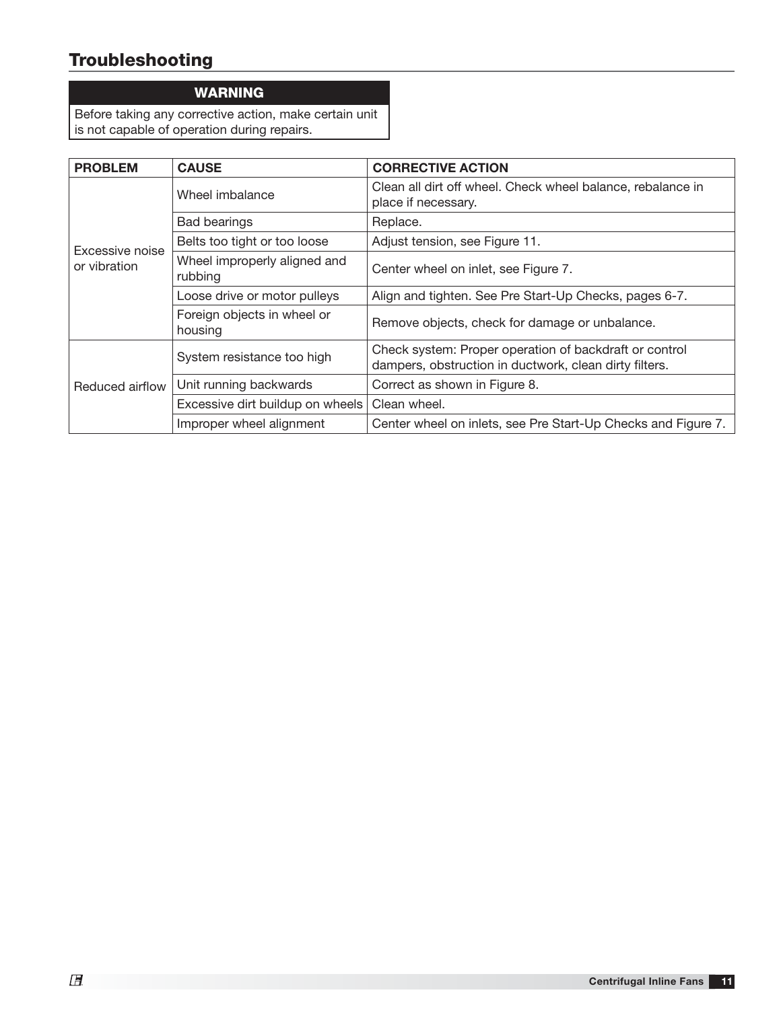# **Troubleshooting**

#### **WARNING**

Before taking any corrective action, make certain unit is not capable of operation during repairs.

| <b>PROBLEM</b>  | <b>CAUSE</b>                            | <b>CORRECTIVE ACTION</b>                                                                                         |
|-----------------|-----------------------------------------|------------------------------------------------------------------------------------------------------------------|
|                 | Wheel imbalance                         | Clean all dirt off wheel. Check wheel balance, rebalance in<br>place if necessary.                               |
|                 | <b>Bad bearings</b>                     | Replace.                                                                                                         |
| Excessive noise | Belts too tight or too loose            | Adjust tension, see Figure 11.                                                                                   |
| or vibration    | Wheel improperly aligned and<br>rubbing | Center wheel on inlet, see Figure 7.                                                                             |
|                 | Loose drive or motor pulleys            | Align and tighten. See Pre Start-Up Checks, pages 6-7.                                                           |
|                 | Foreign objects in wheel or<br>housing  | Remove objects, check for damage or unbalance.                                                                   |
| Reduced airflow | System resistance too high              | Check system: Proper operation of backdraft or control<br>dampers, obstruction in ductwork, clean dirty filters. |
|                 | Unit running backwards                  | Correct as shown in Figure 8.                                                                                    |
|                 | Excessive dirt buildup on wheels        | Clean wheel.                                                                                                     |
|                 | Improper wheel alignment                | Center wheel on inlets, see Pre Start-Up Checks and Figure 7.                                                    |